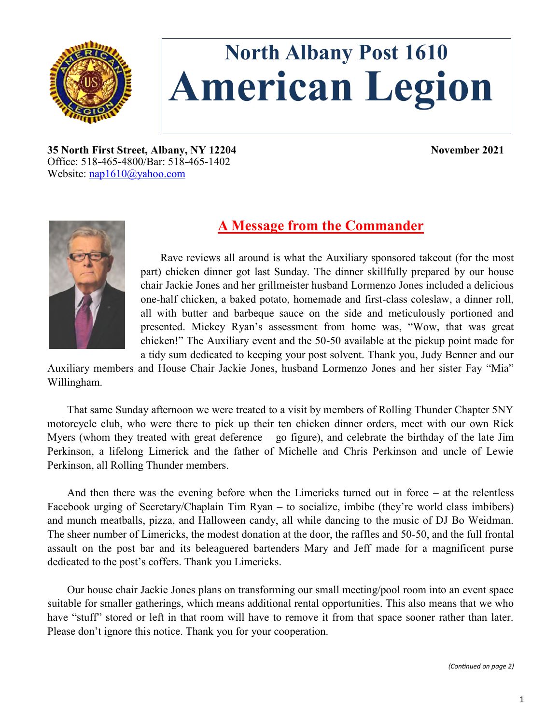

# **North Albany Post 1610 American Legion**

**35 North First Street, Albany, NY 12204 November 2021** Office: 518-465-4800/Bar: 518-465-1402 Website: [nap1610@yahoo.com](mailto:nap1610@yahoo.com)



## **A Message from the Commander**

Rave reviews all around is what the Auxiliary sponsored takeout (for the most part) chicken dinner got last Sunday. The dinner skillfully prepared by our house chair Jackie Jones and her grillmeister husband Lormenzo Jones included a delicious one-half chicken, a baked potato, homemade and first-class coleslaw, a dinner roll, all with butter and barbeque sauce on the side and meticulously portioned and presented. Mickey Ryan's assessment from home was, "Wow, that was great chicken!" The Auxiliary event and the 50-50 available at the pickup point made for a tidy sum dedicated to keeping your post solvent. Thank you, Judy Benner and our

Auxiliary members and House Chair Jackie Jones, husband Lormenzo Jones and her sister Fay "Mia" Willingham.

That same Sunday afternoon we were treated to a visit by members of Rolling Thunder Chapter 5NY motorcycle club, who were there to pick up their ten chicken dinner orders, meet with our own Rick Myers (whom they treated with great deference  $-$  go figure), and celebrate the birthday of the late Jim Perkinson, a lifelong Limerick and the father of Michelle and Chris Perkinson and uncle of Lewie Perkinson, all Rolling Thunder members.

And then there was the evening before when the Limericks turned out in force – at the relentless Facebook urging of Secretary/Chaplain Tim Ryan – to socialize, imbibe (they're world class imbibers) and munch meatballs, pizza, and Halloween candy, all while dancing to the music of DJ Bo Weidman. The sheer number of Limericks, the modest donation at the door, the raffles and 50-50, and the full frontal assault on the post bar and its beleaguered bartenders Mary and Jeff made for a magnificent purse dedicated to the post's coffers. Thank you Limericks.

Our house chair Jackie Jones plans on transforming our small meeting/pool room into an event space suitable for smaller gatherings, which means additional rental opportunities. This also means that we who have "stuff" stored or left in that room will have to remove it from that space sooner rather than later. Please don't ignore this notice. Thank you for your cooperation.

*(Continued on page 2)*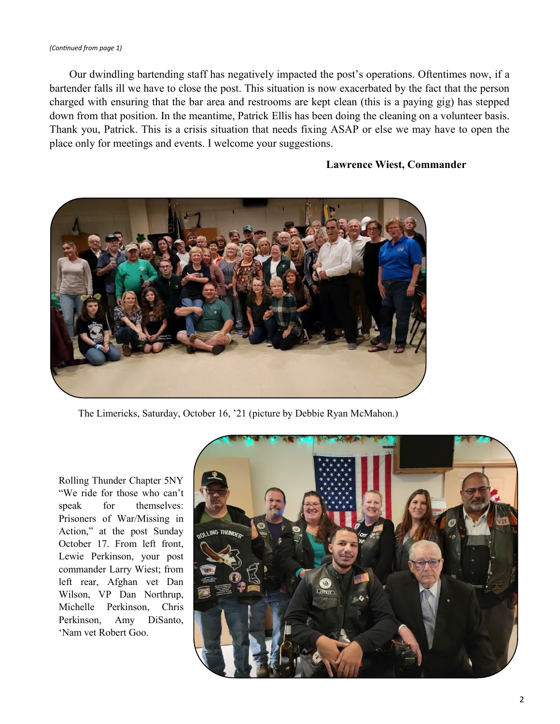#### *(Continued from page 1)*

Our dwindling bartending staff has negatively impacted the post's operations. Oftentimes now, if a bartender falls ill we have to close the post. This situation is now exacerbated by the fact that the person charged with ensuring that the bar area and restrooms are kept clean (this is a paying gig) has stepped down from that position. In the meantime, Patrick Ellis has been doing the cleaning on a volunteer basis. Thank you, Patrick. This is a crisis situation that needs fixing ASAP or else we may have to open the place only for meetings and events. I welcome your suggestions.

#### **Lawrence Wiest, Commander**



The Limericks, Saturday, October 16, '21 (picture by Debbie Ryan McMahon.)

Rolling Thunder Chapter 5NY "We ride for those who can't speak for themselves: Prisoners of War/Missing in Action," at the post Sunday October 17. From left front, Lewie Perkinson, your post commander Larry Wiest; from left rear, Afghan vet Dan Wilson, VP Dan Northrup, Michelle Perkinson, Chris Perkinson, Amy DiSanto, 'Nam vet Robert Goo.

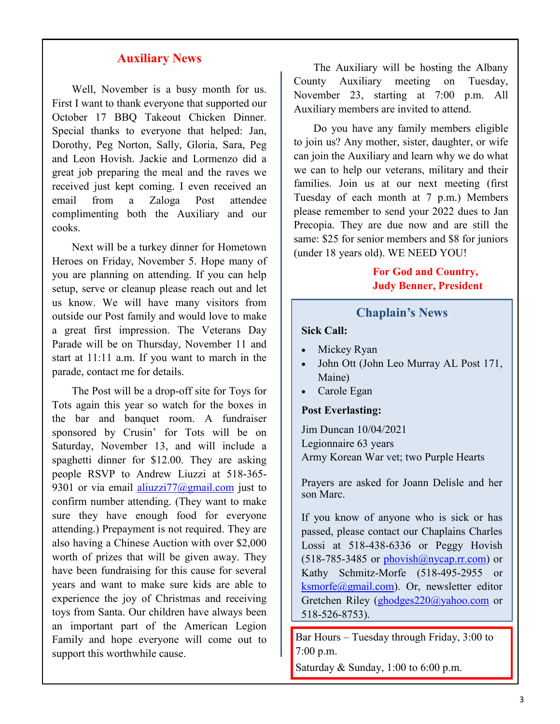#### **Auxiliary News**

Well, November is a busy month for us. First I want to thank everyone that supported our October 17 BBQ Takeout Chicken Dinner. Special thanks to everyone that helped: Jan, Dorothy, Peg Norton, Sally, Gloria, Sara, Peg and Leon Hovish. Jackie and Lormenzo did a great job preparing the meal and the raves we received just kept coming. I even received an email from a Zaloga Post attendee complimenting both the Auxiliary and our cooks.

Next will be a turkey dinner for Hometown Heroes on Friday, November 5. Hope many of you are planning on attending. If you can help setup, serve or cleanup please reach out and let us know. We will have many visitors from outside our Post family and would love to make a great first impression. The Veterans Day Parade will be on Thursday, November 11 and start at 11:11 a.m. If you want to march in the parade, contact me for details.

The Post will be a drop-off site for Toys for Tots again this year so watch for the boxes in the bar and banquet room. A fundraiser sponsored by Crusin' for Tots will be on Saturday, November 13, and will include a spaghetti dinner for \$12.00. They are asking people RSVP to Andrew Liuzzi at 518-365- 9301 or via email aliuzzi $77$ @gmail.com just to confirm number attending. (They want to make sure they have enough food for everyone attending.) Prepayment is not required. They are also having a Chinese Auction with over \$2,000 worth of prizes that will be given away. They have been fundraising for this cause for several years and want to make sure kids are able to experience the joy of Christmas and receiving toys from Santa. Our children have always been an important part of the American Legion Family and hope everyone will come out to support this worthwhile cause.

The Auxiliary will be hosting the Albany County Auxiliary meeting on Tuesday, November 23, starting at 7:00 p.m. All Auxiliary members are invited to attend.

Do you have any family members eligible to join us? Any mother, sister, daughter, or wife can join the Auxiliary and learn why we do what we can to help our veterans, military and their families. Join us at our next meeting (first Tuesday of each month at 7 p.m.) Members please remember to send your 2022 dues to Jan Precopia. They are due now and are still the same: \$25 for senior members and \$8 for juniors (under 18 years old). WE NEED YOU!

#### **For God and Country, Judy Benner, President**

#### **Chaplain's News**

**Sick Call:**

- Mickey Ryan
- John Ott (John Leo Murray AL Post 171, Maine)
- Carole Egan

#### **Post Everlasting:**

Jim Duncan 10/04/2021 Legionnaire 63 years Army Korean War vet; two Purple Hearts

Prayers are asked for Joann Delisle and her son Marc.

If you know of anyone who is sick or has passed, please contact our Chaplains Charles Lossi at 518-438-6336 or Peggy Hovish  $(518-785-3485$  or phovish $(a)$ nycap.rr.com) or Kathy Schmitz-Morfe (518-495-2955 or [ksmorfe@gmail.com\).](mailto:ksmorfe@gmail.com) Or, newsletter editor Gretchen Riley ([ghodges220@yahoo.com](mailto:ghodges220@yahoo.com) or 518-526-8753).

Bar Hours – Tuesday through Friday, 3:00 to 7:00 p.m.

Saturday & Sunday, 1:00 to 6:00 p.m.